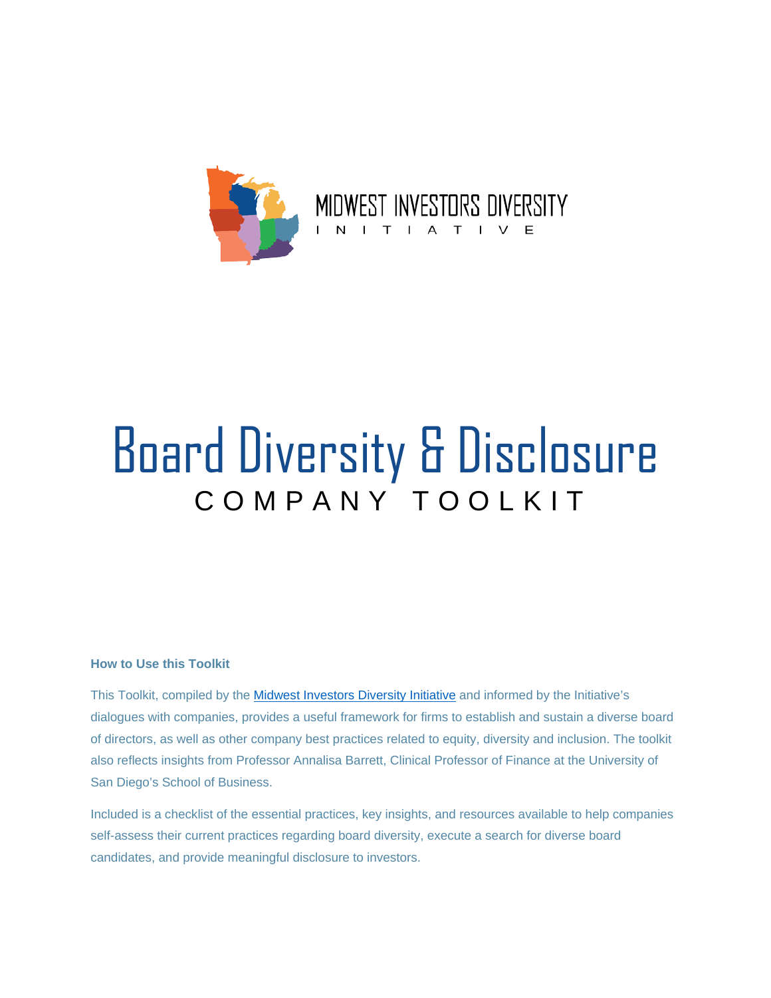

# Board Diversity & Disclosure COMPANY TOOLKIT

#### **How to Use this Toolkit**

This Toolkit, compiled by the [Midwest Investors Diversity Initiative](https://www.illinoistreasurer.gov/Financial_Institutions/Equity,_Diversity__Inclusion/Midwest_Investors_Diversity_Initiative) and informed by the Initiative's dialogues with companies, provides a useful framework for firms to establish and sustain a diverse board of directors, as well as other company best practices related to equity, diversity and inclusion. The toolkit also reflects insights from Professor Annalisa Barrett, Clinical Professor of Finance at the University of San Diego's School of Business.

Included is a checklist of the essential practices, key insights, and resources available to help companies self-assess their current practices regarding board diversity, execute a search for diverse board candidates, and provide meaningful disclosure to investors.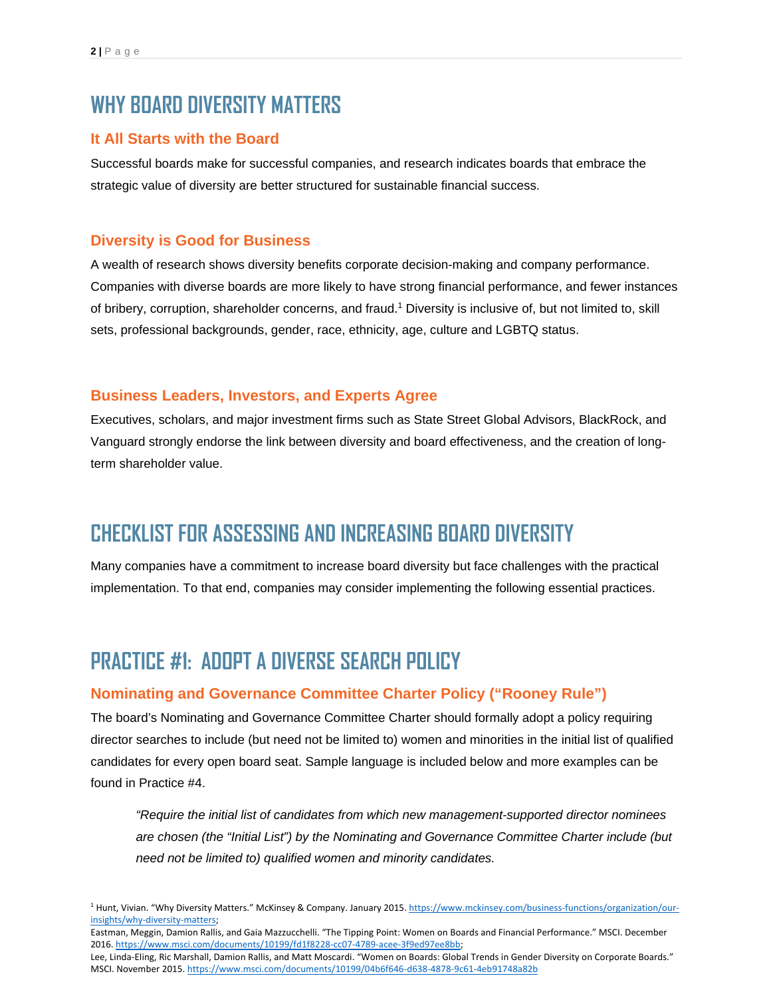# **WHY BOARD DIVERSITY MATTERS**

#### **It All Starts with the Board**

Successful boards make for successful companies, and research indicates boards that embrace the strategic value of diversity are better structured for sustainable financial success.

#### **Diversity is Good for Business**

A wealth of research shows diversity benefits corporate decision-making and company performance. Companies with diverse boards are more likely to have strong financial performance, and fewer instances of bribery, corruption, shareholder concerns, and fraud. <sup>1</sup> Diversity is inclusive of, but not limited to, skill sets, professional backgrounds, gender, race, ethnicity, age, culture and LGBTQ status.

#### **Business Leaders, Investors, and Experts Agree**

Executives, scholars, and major investment firms such as State Street Global Advisors, BlackRock, and Vanguard strongly endorse the link between diversity and board effectiveness, and the creation of longterm shareholder value.

# **CHECKLIST FOR ASSESSING AND INCREASING BOARD DIVERSITY**

Many companies have a commitment to increase board diversity but face challenges with the practical implementation. To that end, companies may consider implementing the following essential practices.

## **PRACTICE #1: ADOPT A DIVERSE SEARCH POLICY**

#### **Nominating and Governance Committee Charter Policy ("Rooney Rule")**

The board's Nominating and Governance Committee Charter should formally adopt a policy requiring director searches to include (but need not be limited to) women and minorities in the initial list of qualified candidates for every open board seat. Sample language is included below and more examples can be found in Practice #4.

*"Require the initial list of candidates from which new management-supported director nominees are chosen (the "Initial List") by the Nominating and Governance Committee Charter include (but need not be limited to) qualified women and minority candidates.*

<sup>&</sup>lt;sup>1</sup> Hunt, Vivian. "Why Diversity Matters." McKinsey & Company. January 2015[. https://www.mckinsey.com/business-functions/organization/our](https://www.mckinsey.com/business-functions/organization/our-insights/why-diversity-matters)[insights/why-diversity-matters;](https://www.mckinsey.com/business-functions/organization/our-insights/why-diversity-matters) 

Eastman, Meggin, Damion Rallis, and Gaia Mazzucchelli. "The Tipping Point: Women on Boards and Financial Performance." MSCI. December 2016[. https://www.msci.com/documents/10199/fd1f8228-cc07-4789-acee-3f9ed97ee8bb;](https://www.msci.com/documents/10199/fd1f8228-cc07-4789-acee-3f9ed97ee8bb)

Lee, Linda-Eling, Ric Marshall, Damion Rallis, and Matt Moscardi. "Women on Boards: Global Trends in Gender Diversity on Corporate Boards." MSCI. November 2015.<https://www.msci.com/documents/10199/04b6f646-d638-4878-9c61-4eb91748a82b>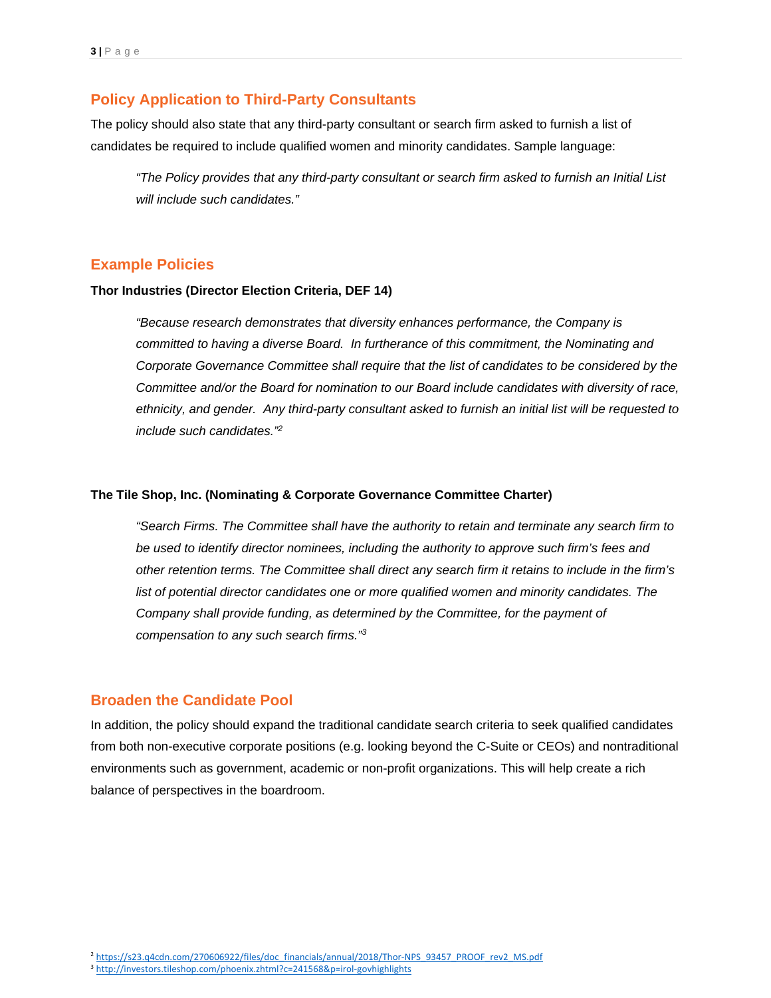#### **Policy Application to Third-Party Consultants**

The policy should also state that any third-party consultant or search firm asked to furnish a list of candidates be required to include qualified women and minority candidates. Sample language:

*"The Policy provides that any third-party consultant or search firm asked to furnish an Initial List will include such candidates."*

#### **Example Policies**

#### **Thor Industries (Director Election Criteria, DEF 14)**

*"Because research demonstrates that diversity enhances performance, the Company is committed to having a diverse Board. In furtherance of this commitment, the Nominating and Corporate Governance Committee shall require that the list of candidates to be considered by the Committee and/or the Board for nomination to our Board include candidates with diversity of race, ethnicity, and gender. Any third-party consultant asked to furnish an initial list will be requested to include such candidates."2*

#### **The Tile Shop, Inc. (Nominating & Corporate Governance Committee Charter)**

*"Search Firms. The Committee shall have the authority to retain and terminate any search firm to be used to identify director nominees, including the authority to approve such firm's fees and other retention terms. The Committee shall direct any search firm it retains to include in the firm's*  list of potential director candidates one or more qualified women and minority candidates. The *Company shall provide funding, as determined by the Committee, for the payment of compensation to any such search firms."3*

#### **Broaden the Candidate Pool**

In addition, the policy should expand the traditional candidate search criteria to seek qualified candidates from both non-executive corporate positions (e.g. looking beyond the C-Suite or CEOs) and nontraditional environments such as government, academic or non-profit organizations. This will help create a rich balance of perspectives in the boardroom.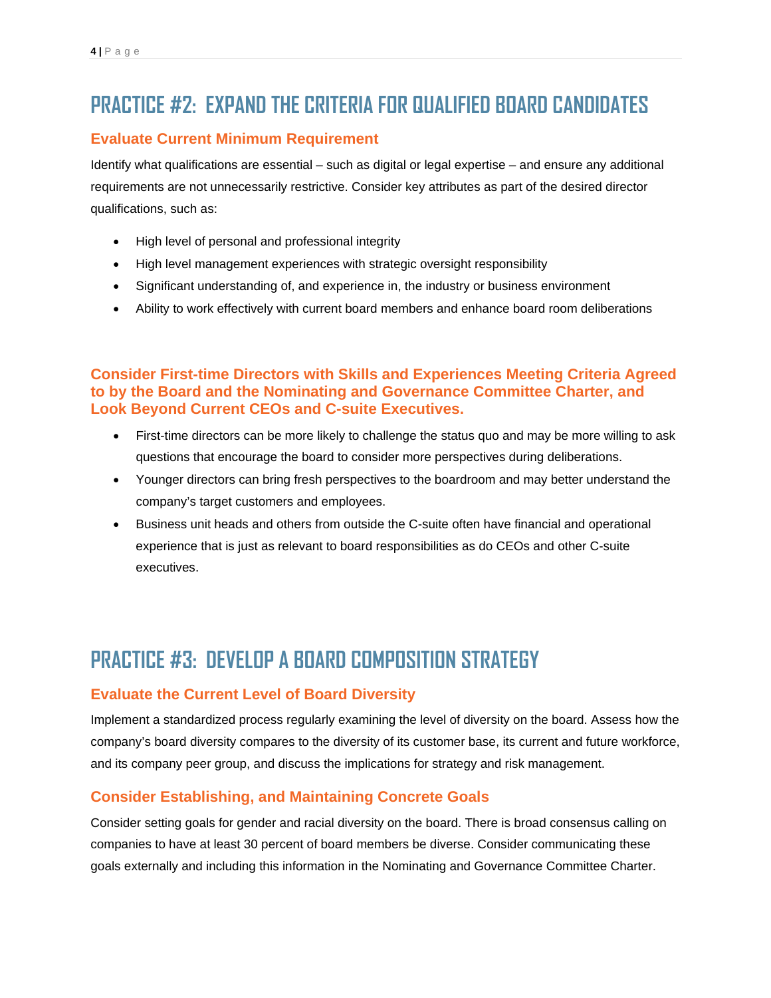# **PRACTICE #2: EXPAND THE CRITERIA FOR QUALIFIED BOARD CANDIDATES**

### **Evaluate Current Minimum Requirement**

Identify what qualifications are essential – such as digital or legal expertise – and ensure any additional requirements are not unnecessarily restrictive. Consider key attributes as part of the desired director qualifications, such as:

- High level of personal and professional integrity
- High level management experiences with strategic oversight responsibility
- Significant understanding of, and experience in, the industry or business environment
- Ability to work effectively with current board members and enhance board room deliberations

### **Consider First-time Directors with Skills and Experiences Meeting Criteria Agreed to by the Board and the Nominating and Governance Committee Charter, and Look Beyond Current CEOs and C-suite Executives.**

- First-time directors can be more likely to challenge the status quo and may be more willing to ask questions that encourage the board to consider more perspectives during deliberations.
- Younger directors can bring fresh perspectives to the boardroom and may better understand the company's target customers and employees.
- Business unit heads and others from outside the C-suite often have financial and operational experience that is just as relevant to board responsibilities as do CEOs and other C-suite executives.

# **PRACTICE #3: DEVELOP A BOARD COMPOSITION STRATEGY**

#### **Evaluate the Current Level of Board Diversity**

Implement a standardized process regularly examining the level of diversity on the board. Assess how the company's board diversity compares to the diversity of its customer base, its current and future workforce, and its company peer group, and discuss the implications for strategy and risk management.

## **Consider Establishing, and Maintaining Concrete Goals**

Consider setting goals for gender and racial diversity on the board. There is broad consensus calling on companies to have at least 30 percent of board members be diverse. Consider communicating these goals externally and including this information in the Nominating and Governance Committee Charter.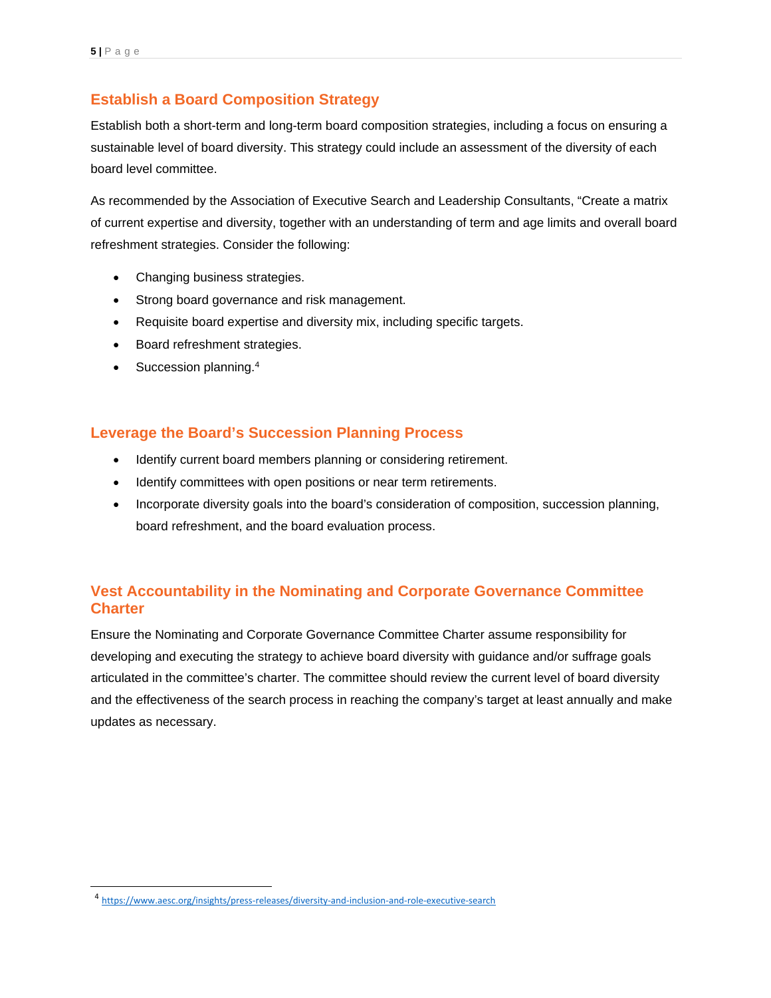### **Establish a Board Composition Strategy**

Establish both a short-term and long-term board composition strategies, including a focus on ensuring a sustainable level of board diversity. This strategy could include an assessment of the diversity of each board level committee.

As recommended by the Association of Executive Search and Leadership Consultants, "Create a matrix of current expertise and diversity, together with an understanding of term and age limits and overall board refreshment strategies. Consider the following:

- Changing business strategies.
- Strong board governance and risk management.
- Requisite board expertise and diversity mix, including specific targets.
- Board refreshment strategies.
- Succession planning.<sup>4</sup>

#### **Leverage the Board's Succession Planning Process**

- Identify current board members planning or considering retirement.
- Identify committees with open positions or near term retirements.
- Incorporate diversity goals into the board's consideration of composition, succession planning, board refreshment, and the board evaluation process.

## **Vest Accountability in the Nominating and Corporate Governance Committee Charter**

Ensure the Nominating and Corporate Governance Committee Charter assume responsibility for developing and executing the strategy to achieve board diversity with guidance and/or suffrage goals articulated in the committee's charter. The committee should review the current level of board diversity and the effectiveness of the search process in reaching the company's target at least annually and make updates as necessary.

<span id="page-4-0"></span><sup>14</sup> <https://www.aesc.org/insights/press-releases/diversity-and-inclusion-and-role-executive-search>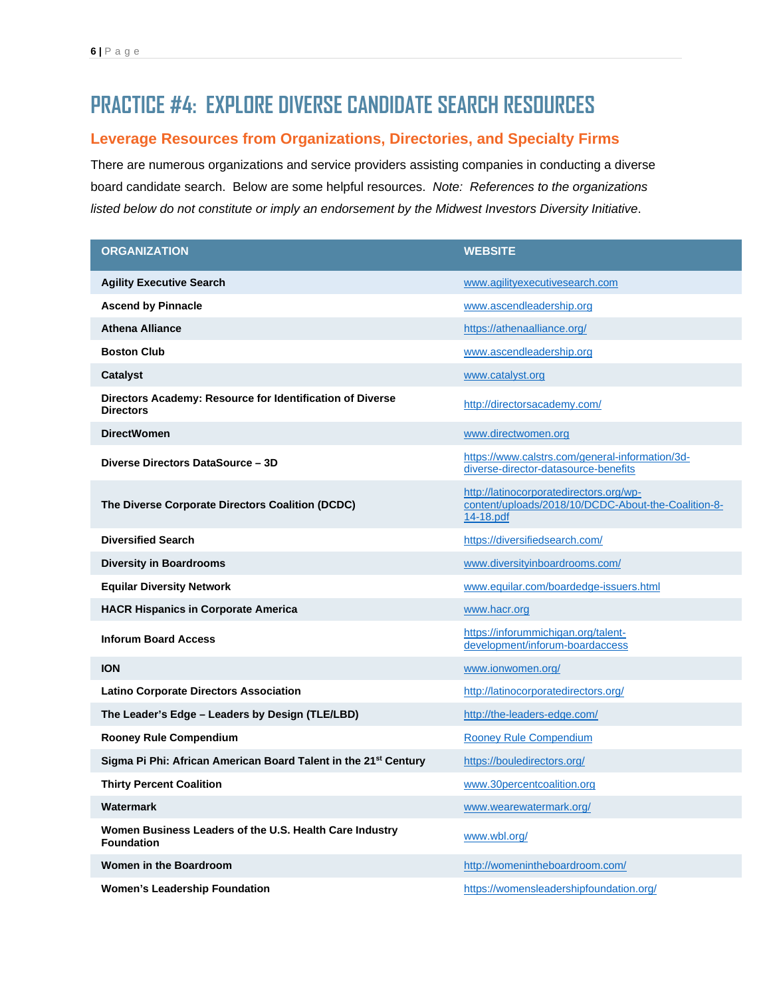# **PRACTICE #4: EXPLORE DIVERSE CANDIDATE SEARCH RESOURCES**

#### **Leverage Resources from Organizations, Directories, and Specialty Firms**

There are numerous organizations and service providers assisting companies in conducting a diverse board candidate search. Below are some helpful resources. *Note: References to the organizations listed below do not constitute or imply an endorsement by the Midwest Investors Diversity Initiative*.

| <b>ORGANIZATION</b>                                                           | <b>WEBSITE</b>                                                                                              |
|-------------------------------------------------------------------------------|-------------------------------------------------------------------------------------------------------------|
| <b>Agility Executive Search</b>                                               | www.agilityexecutivesearch.com                                                                              |
| <b>Ascend by Pinnacle</b>                                                     | www.ascendleadership.org                                                                                    |
| <b>Athena Alliance</b>                                                        | https://athenaalliance.org/                                                                                 |
| <b>Boston Club</b>                                                            | www.ascendleadership.org                                                                                    |
| <b>Catalyst</b>                                                               | www.catalyst.org                                                                                            |
| Directors Academy: Resource for Identification of Diverse<br><b>Directors</b> | http://directorsacademy.com/                                                                                |
| <b>DirectWomen</b>                                                            | www.directwomen.org                                                                                         |
| Diverse Directors DataSource - 3D                                             | https://www.calstrs.com/general-information/3d-<br>diverse-director-datasource-benefits                     |
| The Diverse Corporate Directors Coalition (DCDC)                              | http://latinocorporatedirectors.org/wp-<br>content/uploads/2018/10/DCDC-About-the-Coalition-8-<br>14-18.pdf |
| <b>Diversified Search</b>                                                     | https://diversifiedsearch.com/                                                                              |
| <b>Diversity in Boardrooms</b>                                                | www.diversityinboardrooms.com/                                                                              |
| <b>Equilar Diversity Network</b>                                              | www.equilar.com/boardedge-issuers.html                                                                      |
| <b>HACR Hispanics in Corporate America</b>                                    | www.hacr.org                                                                                                |
| <b>Inforum Board Access</b>                                                   | https://inforummichigan.org/talent-<br>development/inforum-boardaccess                                      |
| <b>ION</b>                                                                    | www.ionwomen.org/                                                                                           |
| <b>Latino Corporate Directors Association</b>                                 | http://latinocorporatedirectors.org/                                                                        |
| The Leader's Edge - Leaders by Design (TLE/LBD)                               | http://the-leaders-edge.com/                                                                                |
| <b>Rooney Rule Compendium</b>                                                 | <b>Rooney Rule Compendium</b>                                                                               |
| Sigma Pi Phi: African American Board Talent in the 21 <sup>st</sup> Century   | https://bouledirectors.org/                                                                                 |
| <b>Thirty Percent Coalition</b>                                               | www.30percentcoalition.org                                                                                  |
| Watermark                                                                     | www.wearewatermark.org/                                                                                     |
| Women Business Leaders of the U.S. Health Care Industry<br><b>Foundation</b>  | www.wbl.org/                                                                                                |
| <b>Women in the Boardroom</b>                                                 | http://womenintheboardroom.com/                                                                             |
| <b>Women's Leadership Foundation</b>                                          | https://womensleadershipfoundation.org/                                                                     |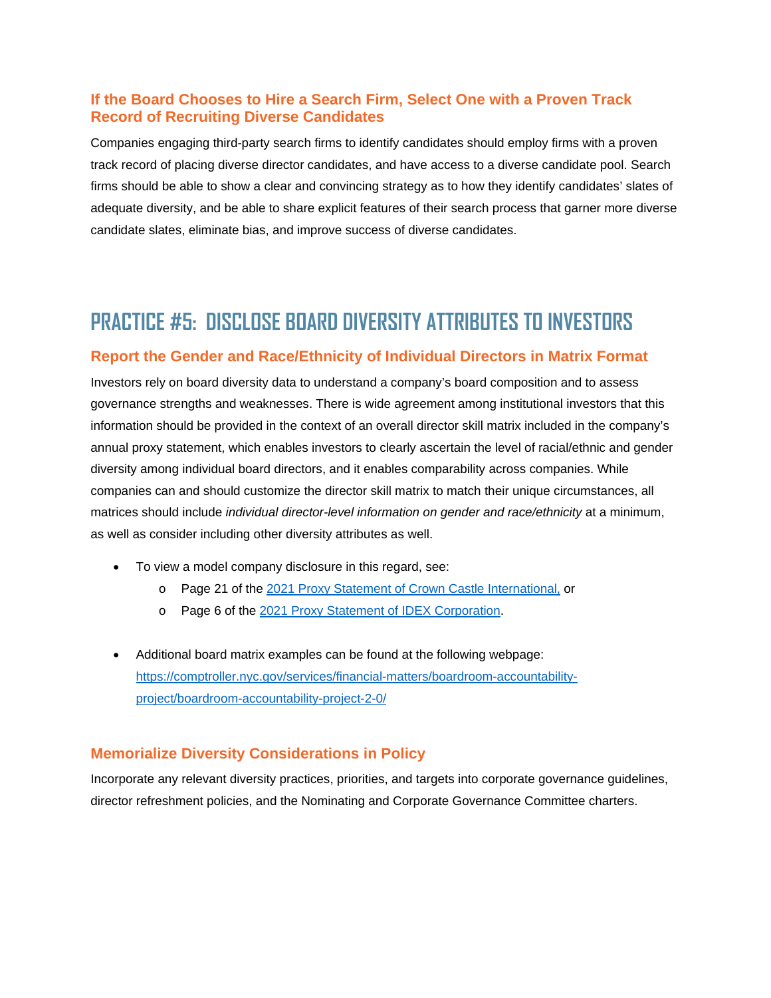#### **If the Board Chooses to Hire a Search Firm, Select One with a Proven Track Record of Recruiting Diverse Candidates**

Companies engaging third-party search firms to identify candidates should employ firms with a proven track record of placing diverse director candidates, and have access to a diverse candidate pool. Search firms should be able to show a clear and convincing strategy as to how they identify candidates' slates of adequate diversity, and be able to share explicit features of their search process that garner more diverse candidate slates, eliminate bias, and improve success of diverse candidates.

## **PRACTICE #5: DISCLOSE BOARD DIVERSITY ATTRIBUTES TO INVESTORS**

#### **Report the Gender and Race/Ethnicity of Individual Directors in Matrix Format**

Investors rely on board diversity data to understand a company's board composition and to assess governance strengths and weaknesses. There is wide agreement among institutional investors that this information should be provided in the context of an overall director skill matrix included in the company's annual proxy statement, which enables investors to clearly ascertain the level of racial/ethnic and gender diversity among individual board directors, and it enables comparability across companies. While companies can and should customize the director skill matrix to match their unique circumstances, all matrices should include *individual director-level information on gender and race/ethnicity* at a minimum, as well as consider including other diversity attributes as well.

- To view a model company disclosure in this regard, see:
	- o Page 21 of the [2021 Proxy Statement of Crown Castle International,](https://www.crowncastle.com/investors/currentproxy.pdf) or
	- o Page 6 of the [2021 Proxy Statement of IDEX Corporation.](https://investors.idexcorp.com/static-files/17431ab6-3f90-4462-9e2a-816e59a99473)
- Additional board matrix examples can be found at the following webpage: [https://comptroller.nyc.gov/services/financial-matters/boardroom-accountability](https://comptroller.nyc.gov/services/financial-matters/boardroom-accountability-project/boardroom-accountability-project-2-0/)[project/boardroom-accountability-project-2-0/](https://comptroller.nyc.gov/services/financial-matters/boardroom-accountability-project/boardroom-accountability-project-2-0/)

#### **Memorialize Diversity Considerations in Policy**

Incorporate any relevant diversity practices, priorities, and targets into corporate governance guidelines, director refreshment policies, and the Nominating and Corporate Governance Committee charters.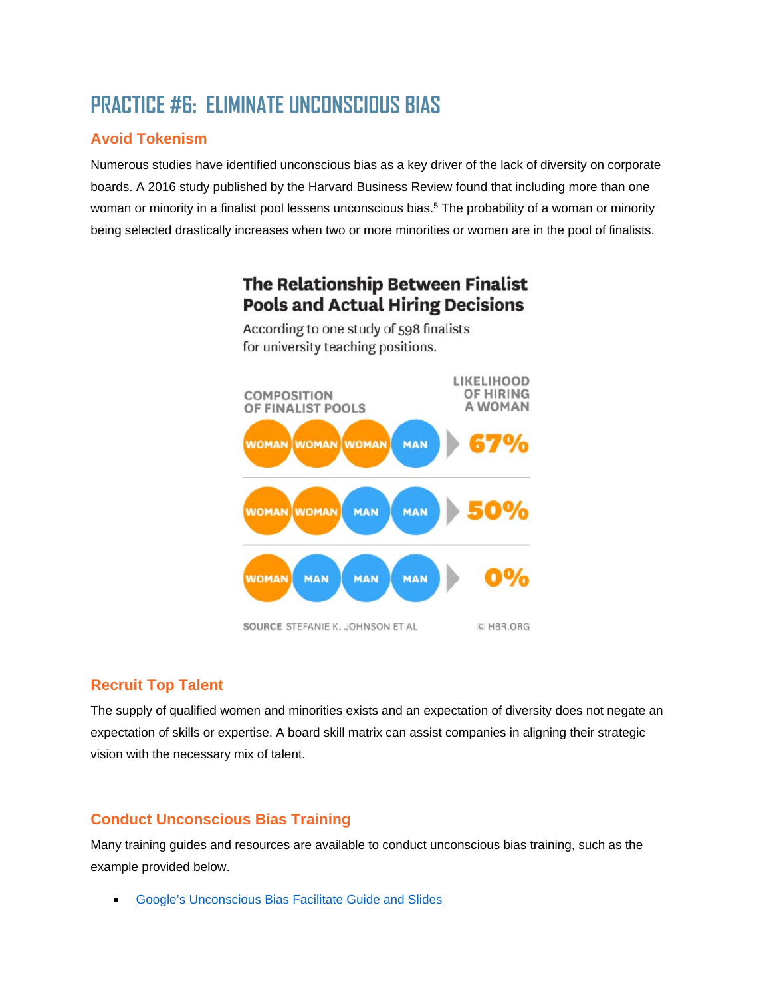# **PRACTICE #6: ELIMINATE UNCONSCIOUS BIAS**

## **Avoid Tokenism**

Numerous studies have identified unconscious bias as a key driver of the lack of diversity on corporate boards. A 2016 study published by the Harvard Business Review found that including more than one woman or minority in a finalist pool lessens unconscious bias.<sup>5</sup> The probability of a woman or minority being selected drastically increases when two or more minorities or women are in the pool of finalists.



The Relationship Between Finalist **Pools and Actual Hiring Decisions** According to one study of 598 finalists

## **Recruit Top Talent**

The supply of qualified women and minorities exists and an expectation of diversity does not negate an expectation of skills or expertise. A board skill matrix can assist companies in aligning their strategic vision with the necessary mix of talent.

## **Conduct Unconscious Bias Training**

Many training guides and resources are available to conduct unconscious bias training, such as the example provided below.

• [Google's Unconscious Bias Facilitate Guide and Slides](https://rework.withgoogle.com/guides/unbiasing-raise-awareness/steps/give-your-own-unbiasing-workshop/)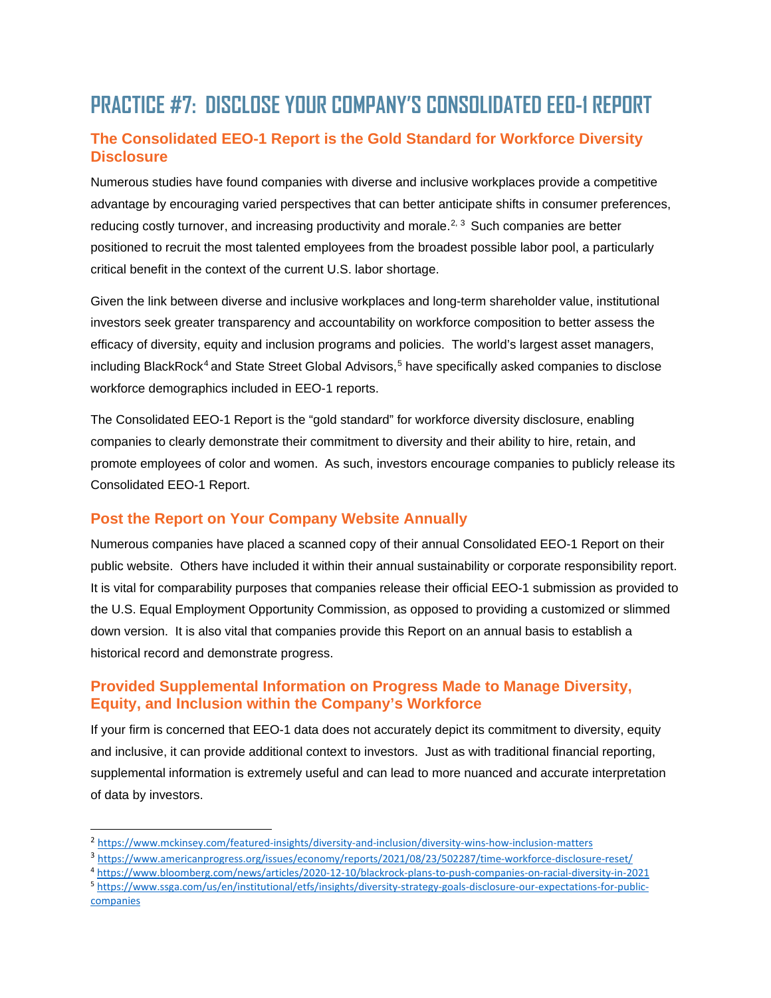# **PRACTICE #7: DISCLOSE YOUR COMPANY'S CONSOLIDATED EEO-1 REPORT**

## **The Consolidated EEO-1 Report is the Gold Standard for Workforce Diversity Disclosure**

Numerous studies have found companies with diverse and inclusive workplaces provide a competitive advantage by encouraging varied perspectives that can better anticipate shifts in consumer preferences, reducing costly turnover, and increasing productivity and morale.<sup>[2,](#page-8-0) [3](#page-8-1)</sup> Such companies are better positioned to recruit the most talented employees from the broadest possible labor pool, a particularly critical benefit in the context of the current U.S. labor shortage.

Given the link between diverse and inclusive workplaces and long-term shareholder value, institutional investors seek greater transparency and accountability on workforce composition to better assess the efficacy of diversity, equity and inclusion programs and policies. The world's largest asset managers, including BlackRock<sup>[4](#page-8-2)</sup> and State Street Global Advisors,<sup>[5](#page-8-3)</sup> have specifically asked companies to disclose workforce demographics included in EEO-1 reports.

The Consolidated EEO-1 Report is the "gold standard" for workforce diversity disclosure, enabling companies to clearly demonstrate their commitment to diversity and their ability to hire, retain, and promote employees of color and women. As such, investors encourage companies to publicly release its Consolidated EEO-1 Report.

#### **Post the Report on Your Company Website Annually**

Numerous companies have placed a scanned copy of their annual Consolidated EEO-1 Report on their public website. Others have included it within their annual sustainability or corporate responsibility report. It is vital for comparability purposes that companies release their official EEO-1 submission as provided to the U.S. Equal Employment Opportunity Commission, as opposed to providing a customized or slimmed down version. It is also vital that companies provide this Report on an annual basis to establish a historical record and demonstrate progress.

#### **Provided Supplemental Information on Progress Made to Manage Diversity, Equity, and Inclusion within the Company's Workforce**

If your firm is concerned that EEO-1 data does not accurately depict its commitment to diversity, equity and inclusive, it can provide additional context to investors. Just as with traditional financial reporting, supplemental information is extremely useful and can lead to more nuanced and accurate interpretation of data by investors.

<span id="page-8-3"></span><sup>5</sup> [https://www.ssga.com/us/en/institutional/etfs/insights/diversity-strategy-goals-disclosure-our-expectations-for-public](https://www.ssga.com/us/en/institutional/etfs/insights/diversity-strategy-goals-disclosure-our-expectations-for-public-companies)**[companies](https://www.ssga.com/us/en/institutional/etfs/insights/diversity-strategy-goals-disclosure-our-expectations-for-public-companies)** 

<span id="page-8-0"></span><sup>2</sup> <https://www.mckinsey.com/featured-insights/diversity-and-inclusion/diversity-wins-how-inclusion-matters>

<span id="page-8-1"></span><sup>3</sup> <https://www.americanprogress.org/issues/economy/reports/2021/08/23/502287/time-workforce-disclosure-reset/>

<span id="page-8-2"></span><sup>4</sup> <https://www.bloomberg.com/news/articles/2020-12-10/blackrock-plans-to-push-companies-on-racial-diversity-in-2021>